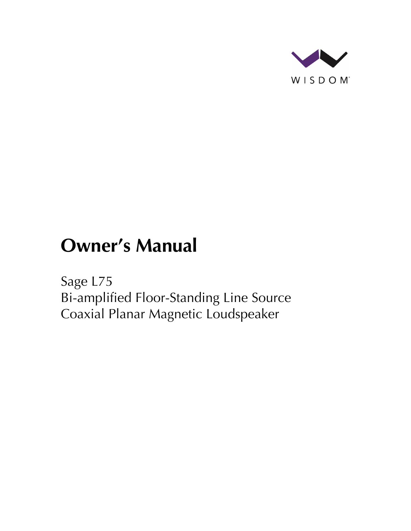

# **Owner's Manual**

Sage L75 Bi-amplified Floor-Standing Line Source Coaxial Planar Magnetic Loudspeaker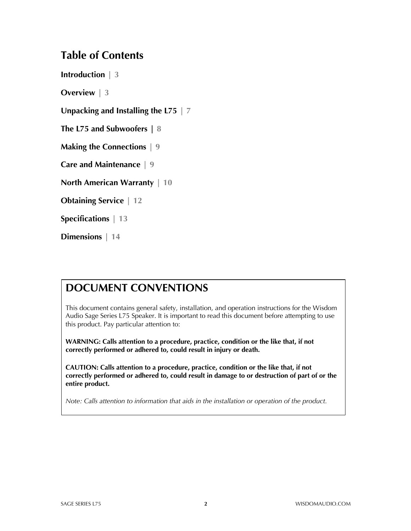### **Table of Contents**

**Introduction | 3**

**Overview | 3**

**Unpacking and Installing the L75 | 7**

**The L75 and Subwoofers | 8**

**Making the Connections | 9**

**Care and Maintenance | 9**

**North American Warranty | 10**

**Obtaining Service | 12**

**Specifications | 13**

**Dimensions | 14**

### **DOCUMENT CONVENTIONS**

This document contains general safety, installation, and operation instructions for the Wisdom Audio Sage Series L75 Speaker. It is important to read this document before attempting to use this product. Pay particular attention to:

**WARNING: Calls attention to a procedure, practice, condition or the like that, if not correctly performed or adhered to, could result in injury or death.** 

**CAUTION: Calls attention to a procedure, practice, condition or the like that, if not correctly performed or adhered to, could result in damage to or destruction of part of or the entire product.** 

*Note: Calls attention to information that aids in the installation or operation of the product.*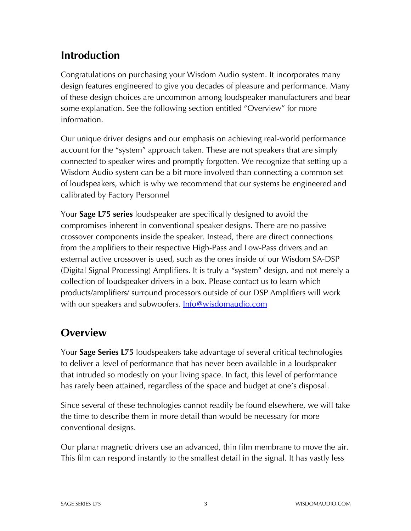### **Introduction**

Congratulations on purchasing your Wisdom Audio system. It incorporates many design features engineered to give you decades of pleasure and performance. Many of these design choices are uncommon among loudspeaker manufacturers and bear some explanation. See the following section entitled "Overview" for more information.

Our unique driver designs and our emphasis on achieving real-world performance account for the "system" approach taken. These are not speakers that are simply connected to speaker wires and promptly forgotten. We recognize that setting up a Wisdom Audio system can be a bit more involved than connecting a common set of loudspeakers, which is why we recommend that our systems be engineered and calibrated by Factory Personnel

Your **Sage L75 series** loudspeaker are specifically designed to avoid the compromises inherent in conventional speaker designs. There are no passive crossover components inside the speaker. Instead, there are direct connections from the amplifiers to their respective High-Pass and Low-Pass drivers and an external active crossover is used, such as the ones inside of our Wisdom SA-DSP (Digital Signal Processing) Amplifiers. It is truly a "system" design, and not merely a collection of loudspeaker drivers in a box. Please contact us to learn which products/amplifiers/ surround processors outside of our DSP Amplifiers will work with our speakers and subwoofers. **Info@wisdomaudio.com** 

### **Overview**

Your **Sage Series L75** loudspeakers take advantage of several critical technologies to deliver a level of performance that has never been available in a loudspeaker that intruded so modestly on your living space. In fact, this level of performance has rarely been attained, regardless of the space and budget at one's disposal.

Since several of these technologies cannot readily be found elsewhere, we will take the time to describe them in more detail than would be necessary for more conventional designs.

Our planar magnetic drivers use an advanced, thin film membrane to move the air. This film can respond instantly to the smallest detail in the signal. It has vastly less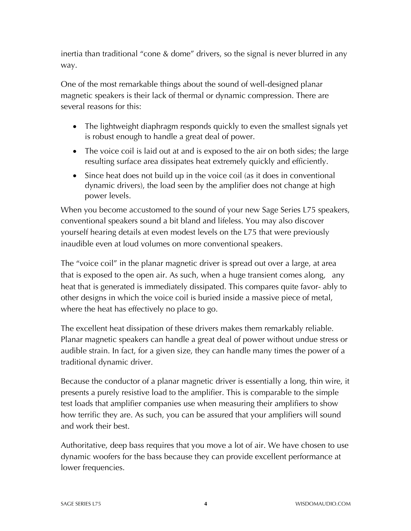inertia than traditional "cone & dome" drivers, so the signal is never blurred in any way.

One of the most remarkable things about the sound of well-designed planar magnetic speakers is their lack of thermal or dynamic compression. There are several reasons for this:

- The lightweight diaphragm responds quickly to even the smallest signals yet is robust enough to handle a great deal of power.
- The voice coil is laid out at and is exposed to the air on both sides; the large resulting surface area dissipates heat extremely quickly and efficiently.
- Since heat does not build up in the voice coil (as it does in conventional dynamic drivers), the load seen by the amplifier does not change at high power levels.

When you become accustomed to the sound of your new Sage Series L75 speakers, conventional speakers sound a bit bland and lifeless. You may also discover yourself hearing details at even modest levels on the L75 that were previously inaudible even at loud volumes on more conventional speakers.

The "voice coil" in the planar magnetic driver is spread out over a large, at area that is exposed to the open air. As such, when a huge transient comes along, any heat that is generated is immediately dissipated. This compares quite favor- ably to other designs in which the voice coil is buried inside a massive piece of metal, where the heat has effectively no place to go.

The excellent heat dissipation of these drivers makes them remarkably reliable. Planar magnetic speakers can handle a great deal of power without undue stress or audible strain. In fact, for a given size, they can handle many times the power of a traditional dynamic driver.

Because the conductor of a planar magnetic driver is essentially a long, thin wire, it presents a purely resistive load to the amplifier. This is comparable to the simple test loads that amplifier companies use when measuring their amplifiers to show how terrific they are. As such, you can be assured that your amplifiers will sound and work their best.

Authoritative, deep bass requires that you move a lot of air. We have chosen to use dynamic woofers for the bass because they can provide excellent performance at lower frequencies.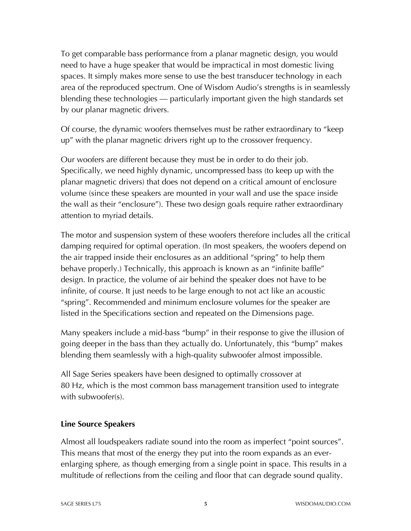To get comparable bass performance from a planar magnetic design, you would need to have a huge speaker that would be impractical in most domestic living spaces. It simply makes more sense to use the best transducer technology in each area of the reproduced spectrum. One of Wisdom Audio's strengths is in seamlessly blending these technologies — particularly important given the high standards set by our planar magnetic drivers.

Of course, the dynamic woofers themselves must be rather extraordinary to "keep up" with the planar magnetic drivers right up to the crossover frequency.

Our woofers are different because they must be in order to do their job. Specifically, we need highly dynamic, uncompressed bass (to keep up with the planar magnetic drivers) that does not depend on a critical amount of enclosure volume (since these speakers are mounted in your wall and use the space inside the wall as their "enclosure"). These two design goals require rather extraordinary attention to myriad details.

The motor and suspension system of these woofers therefore includes all the critical damping required for optimal operation. (In most speakers, the woofers depend on the air trapped inside their enclosures as an additional "spring" to help them behave properly.) Technically, this approach is known as an "infinite baffle" design. In practice, the volume of air behind the speaker does not have to be infinite, of course. It just needs to be large enough to not act like an acoustic "spring". Recommended and minimum enclosure volumes for the speaker are listed in the Specifications section and repeated on the Dimensions page.

Many speakers include a mid-bass "bump" in their response to give the illusion of going deeper in the bass than they actually do. Unfortunately, this "bump" makes blending them seamlessly with a high-quality subwoofer almost impossible.

All Sage Series speakers have been designed to optimally crossover at 80 Hz, which is the most common bass management transition used to integrate with subwoofer(s).

#### **Line Source Speakers**

Almost all loudspeakers radiate sound into the room as imperfect "point sources". This means that most of the energy they put into the room expands as an everenlarging sphere, as though emerging from a single point in space. This results in a multitude of reflections from the ceiling and floor that can degrade sound quality.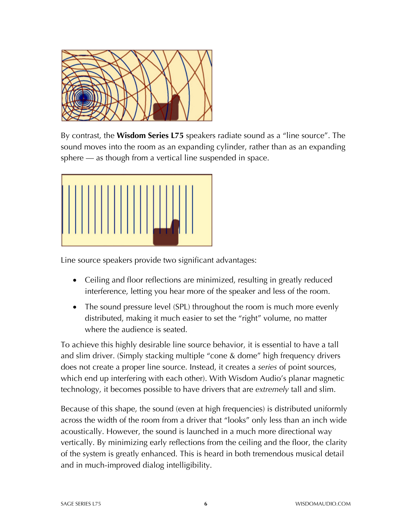

By contrast, the **Wisdom Series L75** speakers radiate sound as a "line source". The sound moves into the room as an expanding cylinder, rather than as an expanding sphere — as though from a vertical line suspended in space.



Line source speakers provide two significant advantages:

- Ceiling and floor reflections are minimized, resulting in greatly reduced interference, letting you hear more of the speaker and less of the room.
- The sound pressure level (SPL) throughout the room is much more evenly distributed, making it much easier to set the "right" volume, no matter where the audience is seated.

To achieve this highly desirable line source behavior, it is essential to have a tall and slim driver. (Simply stacking multiple "cone & dome" high frequency drivers does not create a proper line source. Instead, it creates a *series* of point sources, which end up interfering with each other). With Wisdom Audio's planar magnetic technology, it becomes possible to have drivers that are *extremely* tall and slim.

Because of this shape, the sound (even at high frequencies) is distributed uniformly across the width of the room from a driver that "looks" only less than an inch wide acoustically. However, the sound is launched in a much more directional way vertically. By minimizing early reflections from the ceiling and the floor, the clarity of the system is greatly enhanced. This is heard in both tremendous musical detail and in much-improved dialog intelligibility.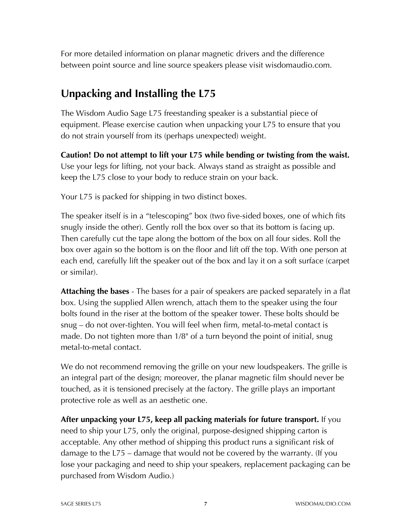For more detailed information on planar magnetic drivers and the difference between point source and line source speakers please visit wisdomaudio.com.

### **Unpacking and Installing the L75**

The Wisdom Audio Sage L75 freestanding speaker is a substantial piece of equipment. Please exercise caution when unpacking your L75 to ensure that you do not strain yourself from its (perhaps unexpected) weight.

**Caution! Do not attempt to lift your L75 while bending or twisting from the waist.** Use your legs for lifting, not your back. Always stand as straight as possible and keep the L75 close to your body to reduce strain on your back.

Your L75 is packed for shipping in two distinct boxes.

The speaker itself is in a "telescoping" box (two five-sided boxes, one of which fits snugly inside the other). Gently roll the box over so that its bottom is facing up. Then carefully cut the tape along the bottom of the box on all four sides. Roll the box over again so the bottom is on the floor and lift off the top. With one person at each end, carefully lift the speaker out of the box and lay it on a soft surface (carpet or similar).

**Attaching the bases** - The bases for a pair of speakers are packed separately in a flat box. Using the supplied Allen wrench, attach them to the speaker using the four bolts found in the riser at the bottom of the speaker tower. These bolts should be snug – do not over-tighten. You will feel when firm, metal-to-metal contact is made. Do not tighten more than 1/8" of a turn beyond the point of initial, snug metal-to-metal contact.

We do not recommend removing the grille on your new loudspeakers. The grille is an integral part of the design; moreover, the planar magnetic film should never be touched, as it is tensioned precisely at the factory. The grille plays an important protective role as well as an aesthetic one.

**After unpacking your L75, keep all packing materials for future transport.** If you need to ship your L75, only the original, purpose-designed shipping carton is acceptable. Any other method of shipping this product runs a significant risk of damage to the L75 – damage that would not be covered by the warranty. (If you lose your packaging and need to ship your speakers, replacement packaging can be purchased from Wisdom Audio.)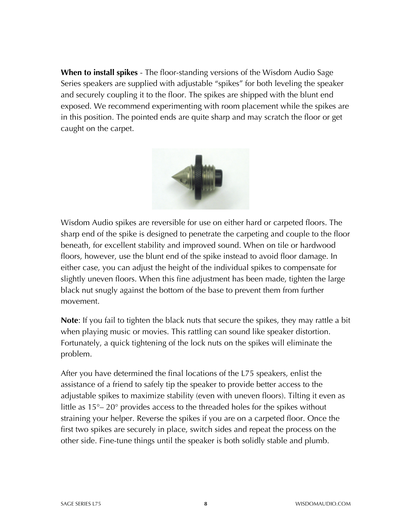**When to install spikes** - The floor-standing versions of the Wisdom Audio Sage Series speakers are supplied with adjustable "spikes" for both leveling the speaker and securely coupling it to the floor. The spikes are shipped with the blunt end exposed. We recommend experimenting with room placement while the spikes are in this position. The pointed ends are quite sharp and may scratch the floor or get caught on the carpet.



Wisdom Audio spikes are reversible for use on either hard or carpeted floors. The sharp end of the spike is designed to penetrate the carpeting and couple to the floor beneath, for excellent stability and improved sound. When on tile or hardwood floors, however, use the blunt end of the spike instead to avoid floor damage. In either case, you can adjust the height of the individual spikes to compensate for slightly uneven floors. When this fine adjustment has been made, tighten the large black nut snugly against the bottom of the base to prevent them from further movement.

**Note**: If you fail to tighten the black nuts that secure the spikes, they may rattle a bit when playing music or movies. This rattling can sound like speaker distortion. Fortunately, a quick tightening of the lock nuts on the spikes will eliminate the problem.

After you have determined the final locations of the L75 speakers, enlist the assistance of a friend to safely tip the speaker to provide better access to the adjustable spikes to maximize stability (even with uneven floors). Tilting it even as little as 15°– 20° provides access to the threaded holes for the spikes without straining your helper. Reverse the spikes if you are on a carpeted floor. Once the first two spikes are securely in place, switch sides and repeat the process on the other side. Fine-tune things until the speaker is both solidly stable and plumb.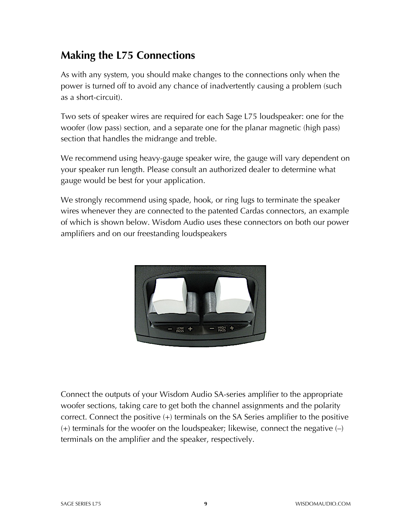### **Making the L75 Connections**

As with any system, you should make changes to the connections only when the power is turned off to avoid any chance of inadvertently causing a problem (such as a short-circuit).

Two sets of speaker wires are required for each Sage L75 loudspeaker: one for the woofer (low pass) section, and a separate one for the planar magnetic (high pass) section that handles the midrange and treble.

We recommend using heavy-gauge speaker wire, the gauge will vary dependent on your speaker run length. Please consult an authorized dealer to determine what gauge would be best for your application.

We strongly recommend using spade, hook, or ring lugs to terminate the speaker wires whenever they are connected to the patented Cardas connectors, an example of which is shown below. Wisdom Audio uses these connectors on both our power amplifiers and on our freestanding loudspeakers



Connect the outputs of your Wisdom Audio SA-series amplifier to the appropriate woofer sections, taking care to get both the channel assignments and the polarity correct. Connect the positive (+) terminals on the SA Series amplifier to the positive  $(+)$  terminals for the woofer on the loudspeaker; likewise, connect the negative  $(-)$ terminals on the amplifier and the speaker, respectively.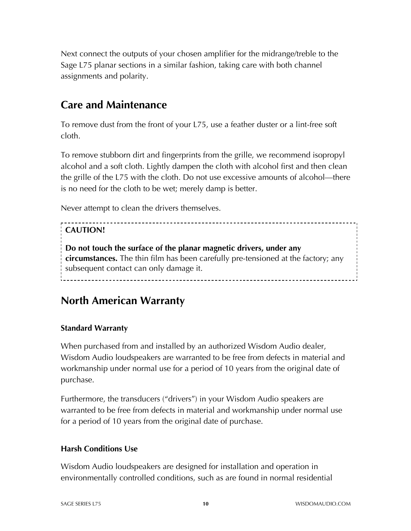Next connect the outputs of your chosen amplifier for the midrange/treble to the Sage L75 planar sections in a similar fashion, taking care with both channel assignments and polarity.

### **Care and Maintenance**

To remove dust from the front of your L75, use a feather duster or a lint-free soft cloth.

To remove stubborn dirt and fingerprints from the grille, we recommend isopropyl alcohol and a soft cloth. Lightly dampen the cloth with alcohol first and then clean the grille of the L75 with the cloth. Do not use excessive amounts of alcohol—there is no need for the cloth to be wet; merely damp is better.

Never attempt to clean the drivers themselves.

### **CAUTION!**

**Do not touch the surface of the planar magnetic drivers, under any circumstances.** The thin film has been carefully pre-tensioned at the factory; any subsequent contact can only damage it.

\_\_\_\_\_\_\_\_\_\_\_\_\_\_\_\_\_\_\_\_\_\_\_\_\_

### **North American Warranty**

### **Standard Warranty**

When purchased from and installed by an authorized Wisdom Audio dealer, Wisdom Audio loudspeakers are warranted to be free from defects in material and workmanship under normal use for a period of 10 years from the original date of purchase.

Furthermore, the transducers ("drivers") in your Wisdom Audio speakers are warranted to be free from defects in material and workmanship under normal use for a period of 10 years from the original date of purchase.

### **Harsh Conditions Use**

Wisdom Audio loudspeakers are designed for installation and operation in environmentally controlled conditions, such as are found in normal residential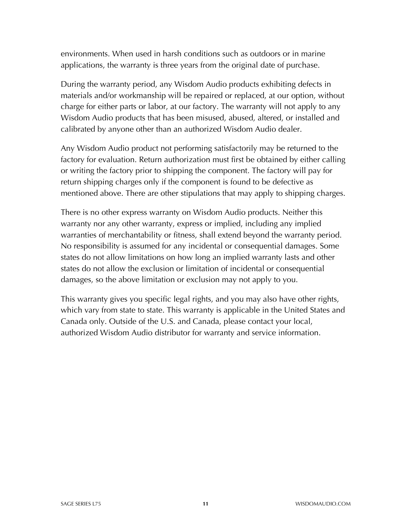environments. When used in harsh conditions such as outdoors or in marine applications, the warranty is three years from the original date of purchase.

During the warranty period, any Wisdom Audio products exhibiting defects in materials and/or workmanship will be repaired or replaced, at our option, without charge for either parts or labor, at our factory. The warranty will not apply to any Wisdom Audio products that has been misused, abused, altered, or installed and calibrated by anyone other than an authorized Wisdom Audio dealer.

Any Wisdom Audio product not performing satisfactorily may be returned to the factory for evaluation. Return authorization must first be obtained by either calling or writing the factory prior to shipping the component. The factory will pay for return shipping charges only if the component is found to be defective as mentioned above. There are other stipulations that may apply to shipping charges.

There is no other express warranty on Wisdom Audio products. Neither this warranty nor any other warranty, express or implied, including any implied warranties of merchantability or fitness, shall extend beyond the warranty period. No responsibility is assumed for any incidental or consequential damages. Some states do not allow limitations on how long an implied warranty lasts and other states do not allow the exclusion or limitation of incidental or consequential damages, so the above limitation or exclusion may not apply to you.

This warranty gives you specific legal rights, and you may also have other rights, which vary from state to state. This warranty is applicable in the United States and Canada only. Outside of the U.S. and Canada, please contact your local, authorized Wisdom Audio distributor for warranty and service information.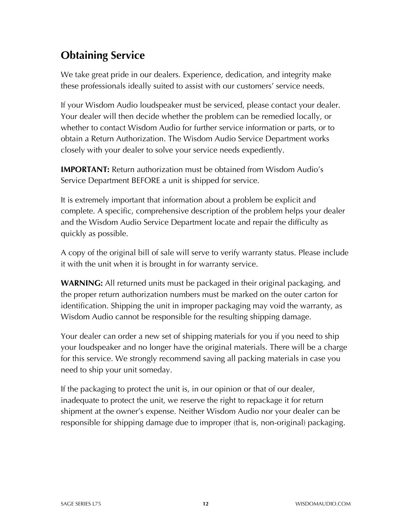## **Obtaining Service**

We take great pride in our dealers. Experience, dedication, and integrity make these professionals ideally suited to assist with our customers' service needs.

If your Wisdom Audio loudspeaker must be serviced, please contact your dealer. Your dealer will then decide whether the problem can be remedied locally, or whether to contact Wisdom Audio for further service information or parts, or to obtain a Return Authorization. The Wisdom Audio Service Department works closely with your dealer to solve your service needs expediently.

**IMPORTANT:** Return authorization must be obtained from Wisdom Audio's Service Department BEFORE a unit is shipped for service.

It is extremely important that information about a problem be explicit and complete. A specific, comprehensive description of the problem helps your dealer and the Wisdom Audio Service Department locate and repair the difficulty as quickly as possible.

A copy of the original bill of sale will serve to verify warranty status. Please include it with the unit when it is brought in for warranty service.

**WARNING:** All returned units must be packaged in their original packaging, and the proper return authorization numbers must be marked on the outer carton for identification. Shipping the unit in improper packaging may void the warranty, as Wisdom Audio cannot be responsible for the resulting shipping damage.

Your dealer can order a new set of shipping materials for you if you need to ship your loudspeaker and no longer have the original materials. There will be a charge for this service. We strongly recommend saving all packing materials in case you need to ship your unit someday.

If the packaging to protect the unit is, in our opinion or that of our dealer, inadequate to protect the unit, we reserve the right to repackage it for return shipment at the owner's expense. Neither Wisdom Audio nor your dealer can be responsible for shipping damage due to improper (that is, non-original) packaging.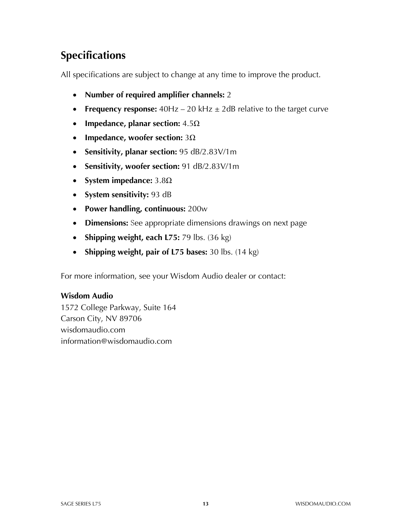# **Specifications**

All specifications are subject to change at any time to improve the product.

- **Number of required amplifier channels:** 2
- **Frequency response:** 40Hz 20 kHz  $\pm$  2dB relative to the target curve
- **Impedance, planar section:** 4.5Ω
- **Impedance, woofer section:** 3Ω
- **Sensitivity, planar section:** 95 dB/2.83V/1m
- **Sensitivity, woofer section:** 91 dB/2.83V/1m
- **System impedance:** 3.8Ω
- **System sensitivity:** 93 dB
- **Power handling, continuous:** 200w
- **Dimensions:** See appropriate dimensions drawings on next page
- **Shipping weight, each L75:** 79 lbs. (36 kg)
- **Shipping weight, pair of L75 bases:** 30 lbs. (14 kg)

For more information, see your Wisdom Audio dealer or contact:

#### **Wisdom Audio**

1572 College Parkway, Suite 164 Carson City, NV 89706 wisdomaudio.com information@wisdomaudio.com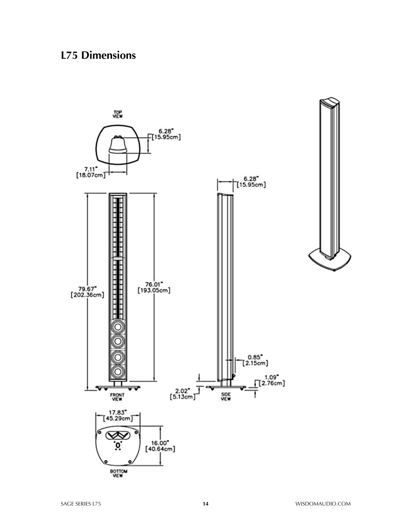### **L75 Dimensions**